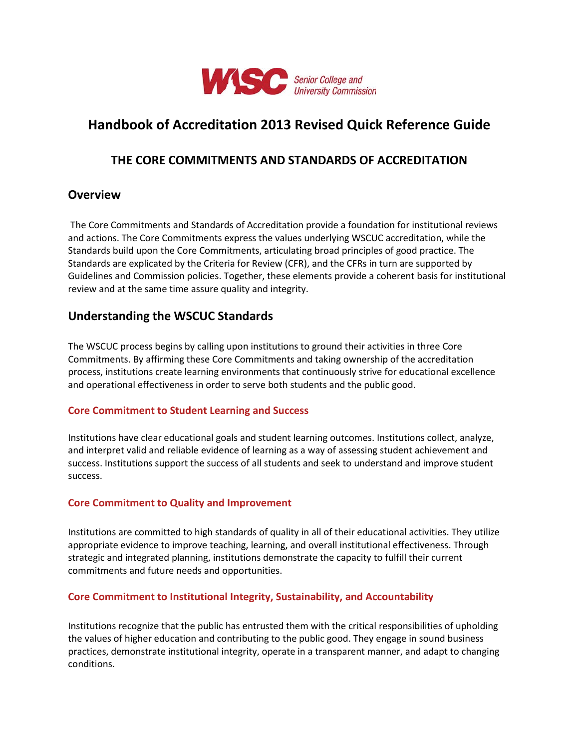

# **Handbook of Accreditation 2013 Revised Quick Reference Guide**

## **THE CORE COMMITMENTS AND STANDARDS OF ACCREDITATION**

## **Overview**

The Core Commitments and Standards of Accreditation provide a foundation for institutional reviews and actions. The Core Commitments express the values underlying WSCUC accreditation, while the Standards build upon the Core Commitments, articulating broad principles of good practice. The Standards are explicated by the Criteria for Review (CFR), and the CFRs in turn are supported by Guidelines and Commission policies. Together, these elements provide a coherent basis for institutional review and at the same time assure quality and integrity.

## **Understanding the WSCUC Standards**

The WSCUC process begins by calling upon institutions to ground their activities in three Core Commitments. By affirming these Core Commitments and taking ownership of the accreditation process, institutions create learning environments that continuously strive for educational excellence and operational effectiveness in order to serve both students and the public good.

## **Core Commitment to Student Learning and Success**

Institutions have clear educational goals and student learning outcomes. Institutions collect, analyze, and interpret valid and reliable evidence of learning as a way of assessing student achievement and success. Institutions support the success of all students and seek to understand and improve student success.

## **Core Commitment to Quality and Improvement**

Institutions are committed to high standards of quality in all of their educational activities. They utilize appropriate evidence to improve teaching, learning, and overall institutional effectiveness. Through strategic and integrated planning, institutions demonstrate the capacity to fulfill their current commitments and future needs and opportunities.

#### **Core Commitment to Institutional Integrity, Sustainability, and Accountability**

Institutions recognize that the public has entrusted them with the critical responsibilities of upholding the values of higher education and contributing to the public good. They engage in sound business practices, demonstrate institutional integrity, operate in a transparent manner, and adapt to changing conditions.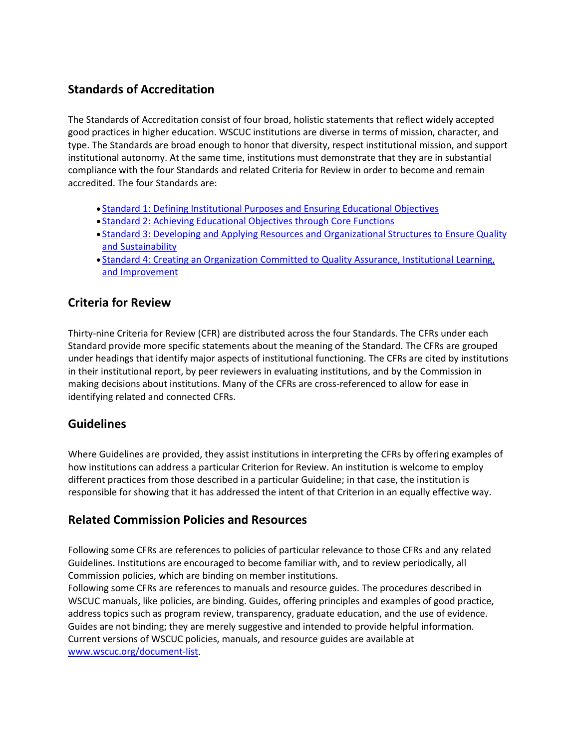# **Standards of Accreditation**

The Standards of Accreditation consist of four broad, holistic statements that reflect widely accepted good practices in higher education. WSCUC institutions are diverse in terms of mission, character, and type. The Standards are broad enough to honor that diversity, respect institutional mission, and support institutional autonomy. At the same time, institutions must demonstrate that they are in substantial compliance with the four Standards and related Criteria for Review in order to become and remain accredited. The four Standards are:

- [Standard 1: Defining Institutional Purposes and Ensuring Educational Objectives](http://www.wascsenior.org/resources/handbook-accreditation-2013/part-ii-core-commitments-and-standards-accreditation/wasc-standards-accreditation-2013/standard-1-defining-institutional-purposes-and-ensuring-educational-objectives)
- [Standard 2: Achieving Educational Objectives through Core Functions](http://www.wascsenior.org/resources/handbook-accreditation-2013/part-ii-core-commitments-and-standards-accreditation/wasc-standards-accreditation-2013/standard-2-achieving-educational-objectives-through-core-functions)
- [Standard 3: Developing and Applying Resources and Organizational Structures to Ensure Quality](http://www.wascsenior.org/resources/handbook-accreditation-2013/part-ii-core-commitments-and-standards-accreditation/wasc-standards-accreditation-2013/standard-3-developing-and-applying-resources-and-organizational-structures-ensure-quality)  [and Sustainability](http://www.wascsenior.org/resources/handbook-accreditation-2013/part-ii-core-commitments-and-standards-accreditation/wasc-standards-accreditation-2013/standard-3-developing-and-applying-resources-and-organizational-structures-ensure-quality)
- [Standard 4: Creating an Organization Committed to Quality Assurance, Institutional Learning,](http://www.wascsenior.org/resources/handbook-accreditation-2013/part-ii-core-commitments-and-standards-accreditation/wasc-standards-accreditation-2013/standard-4-creating-organization-committed-quality-assurance-institutional-learning-and)  [and Improvement](http://www.wascsenior.org/resources/handbook-accreditation-2013/part-ii-core-commitments-and-standards-accreditation/wasc-standards-accreditation-2013/standard-4-creating-organization-committed-quality-assurance-institutional-learning-and)

## **Criteria for Review**

Thirty-nine Criteria for Review (CFR) are distributed across the four Standards. The CFRs under each Standard provide more specific statements about the meaning of the Standard. The CFRs are grouped under headings that identify major aspects of institutional functioning. The CFRs are cited by institutions in their institutional report, by peer reviewers in evaluating institutions, and by the Commission in making decisions about institutions. Many of the CFRs are cross-referenced to allow for ease in identifying related and connected CFRs.

## **Guidelines**

Where Guidelines are provided, they assist institutions in interpreting the CFRs by offering examples of how institutions can address a particular Criterion for Review. An institution is welcome to employ different practices from those described in a particular Guideline; in that case, the institution is responsible for showing that it has addressed the intent of that Criterion in an equally effective way.

## **Related Commission Policies and Resources**

Following some CFRs are references to policies of particular relevance to those CFRs and any related Guidelines. Institutions are encouraged to become familiar with, and to review periodically, all Commission policies, which are binding on member institutions.

Following some CFRs are references to manuals and resource guides. The procedures described in WSCUC manuals, like policies, are binding. Guides, offering principles and examples of good practice, address topics such as program review, transparency, graduate education, and the use of evidence. Guides are not binding; they are merely suggestive and intended to provide helpful information. Current versions of WSCUC policies, manuals, and resource guides are available at [www.wscuc.org/document-list.](https://www.wscuc.org/document-list)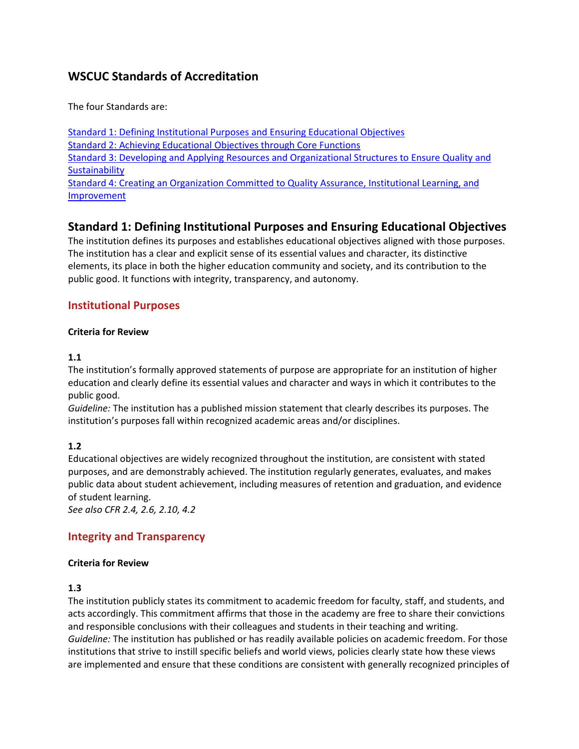# **WSCUC Standards of Accreditation**

The four Standards are:

[Standard 1: Defining Institutional Purposes and Ensuring Educational Objectives](http://www.wascsenior.org/resources/handbook-accreditation-2013/part-ii-core-commitments-and-standards-accreditation/wasc-standards-accreditation-2013/standard-1-defining-institutional-purposes-and-ensuring-educational-objectives) [Standard 2: Achieving Educational Objectives through Core Functions](http://www.wascsenior.org/resources/handbook-accreditation-2013/part-ii-core-commitments-and-standards-accreditation/wasc-standards-accreditation-2013/standard-2-achieving-educational-objectives-through-core-functions) [Standard 3: Developing and Applying Resources and Organizational Structures to Ensure Quality](http://www.wascsenior.org/resources/handbook-accreditation-2013/part-ii-core-commitments-and-standards-accreditation/wasc-standards-accreditation-2013/standard-3-developing-and-applying-resources-and-organizational-structures-ensure-quality) and **[Sustainability](http://www.wascsenior.org/resources/handbook-accreditation-2013/part-ii-core-commitments-and-standards-accreditation/wasc-standards-accreditation-2013/standard-3-developing-and-applying-resources-and-organizational-structures-ensure-quality)** [Standard 4: Creating an Organization Committed to Quality Assurance, Institutional Learning, and](http://www.wascsenior.org/resources/handbook-accreditation-2013/part-ii-core-commitments-and-standards-accreditation/wasc-standards-accreditation-2013/standard-4-creating-organization-committed-quality-assurance-institutional-learning-and)  [Improvement](http://www.wascsenior.org/resources/handbook-accreditation-2013/part-ii-core-commitments-and-standards-accreditation/wasc-standards-accreditation-2013/standard-4-creating-organization-committed-quality-assurance-institutional-learning-and)

# **Standard 1: Defining Institutional Purposes and Ensuring Educational Objectives**

The institution defines its purposes and establishes educational objectives aligned with those purposes. The institution has a clear and explicit sense of its essential values and character, its distinctive elements, its place in both the higher education community and society, and its contribution to the public good. It functions with integrity, transparency, and autonomy.

## **Institutional Purposes**

#### **Criteria for Review**

#### **1.1**

The institution's formally approved statements of purpose are appropriate for an institution of higher education and clearly define its essential values and character and ways in which it contributes to the public good.

*Guideline:* The institution has a published mission statement that clearly describes its purposes. The institution's purposes fall within recognized academic areas and/or disciplines.

## **1.2**

Educational objectives are widely recognized throughout the institution, are consistent with stated purposes, and are demonstrably achieved. The institution regularly generates, evaluates, and makes public data about student achievement, including measures of retention and graduation, and evidence of student learning.

*See also CFR 2.4, 2.6, 2.10, 4.2*

## **Integrity and Transparency**

## **Criteria for Review**

## **1.3**

The institution publicly states its commitment to academic freedom for faculty, staff, and students, and acts accordingly. This commitment affirms that those in the academy are free to share their convictions and responsible conclusions with their colleagues and students in their teaching and writing. *Guideline:* The institution has published or has readily available policies on academic freedom. For those institutions that strive to instill specific beliefs and world views, policies clearly state how these views are implemented and ensure that these conditions are consistent with generally recognized principles of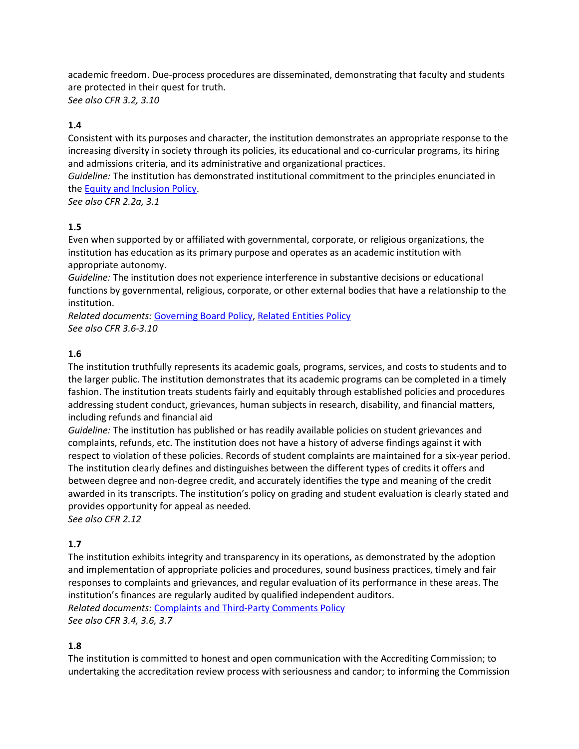academic freedom. Due-process procedures are disseminated, demonstrating that faculty and students are protected in their quest for truth.

*See also CFR 3.2, 3.10*

## **1.4**

Consistent with its purposes and character, the institution demonstrates an appropriate response to the increasing diversity in society through its policies, its educational and co-curricular programs, its hiring and admissions criteria, and its administrative and organizational practices.

*Guideline:* The institution has demonstrated institutional commitment to the principles enunciated in the [Equity and Inclusion Policy.](https://www.wscuc.org/content/equity-inclusion-policy)

*See also CFR 2.2a, 3.1*

## **1.5**

Even when supported by or affiliated with governmental, corporate, or religious organizations, the institution has education as its primary purpose and operates as an academic institution with appropriate autonomy.

*Guideline:* The institution does not experience interference in substantive decisions or educational functions by governmental, religious, corporate, or other external bodies that have a relationship to the institution.

*Related documents:* [Governing Board Policy,](https://www.wscuc.org/content/governing-board-policy) [Related Entities Policy](https://www.wscuc.org/content/related-entities-policy) *See also CFR 3.6-3.10*

## **1.6**

The institution truthfully represents its academic goals, programs, services, and costs to students and to the larger public. The institution demonstrates that its academic programs can be completed in a timely fashion. The institution treats students fairly and equitably through established policies and procedures addressing student conduct, grievances, human subjects in research, disability, and financial matters, including refunds and financial aid

*Guideline:* The institution has published or has readily available policies on student grievances and complaints, refunds, etc. The institution does not have a history of adverse findings against it with respect to violation of these policies. Records of student complaints are maintained for a six-year period. The institution clearly defines and distinguishes between the different types of credits it offers and between degree and non-degree credit, and accurately identifies the type and meaning of the credit awarded in its transcripts. The institution's policy on grading and student evaluation is clearly stated and provides opportunity for appeal as needed. *See also CFR 2.12*

## **1.7**

The institution exhibits integrity and transparency in its operations, as demonstrated by the adoption and implementation of appropriate policies and procedures, sound business practices, timely and fair responses to complaints and grievances, and regular evaluation of its performance in these areas. The institution's finances are regularly audited by qualified independent auditors. *Related documents:* [Complaints and Third-Party Comments Policy](https://www.wscuc.org/content/complaints-and-third-party-comments-policy) *See also CFR 3.4, 3.6, 3.7*

## **1.8**

The institution is committed to honest and open communication with the Accrediting Commission; to undertaking the accreditation review process with seriousness and candor; to informing the Commission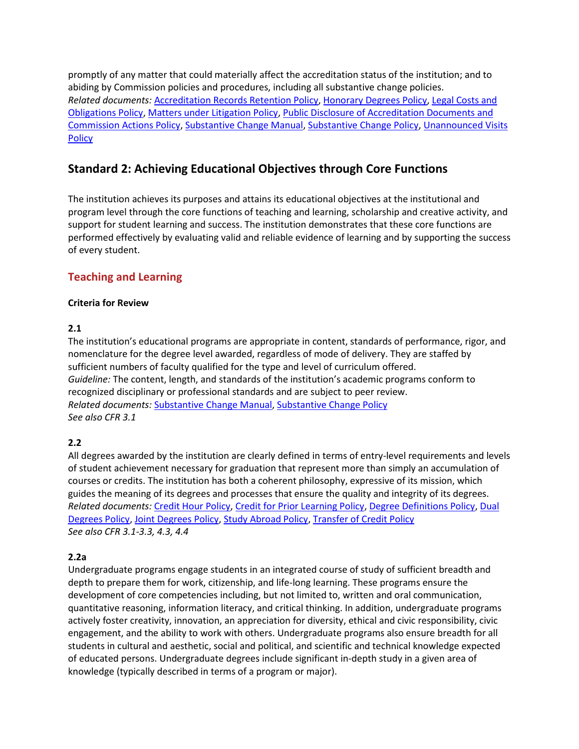promptly of any matter that could materially affect the accreditation status of the institution; and to abiding by Commission policies and procedures, including all substantive change policies. *Related documents:* [Accreditation Records Retention Policy,](https://www.wscuc.org/content/accreditation-records-retention-policy) [Honorary Degrees Policy,](https://www.wscuc.org/content/honorary-degrees-policy) [Legal Costs and](https://www.wscuc.org/content/legal-fees-policy)  [Obligations Policy,](https://www.wscuc.org/content/legal-fees-policy) [Matters under Litigation Policy,](https://www.wscuc.org/content/matters-under-litigation-policy) [Public Disclosure of Accreditation Documents and](https://www.wscuc.org/content/public-disclosure-accreditation-documents-and-commission-actions)  [Commission Actions Policy,](https://www.wscuc.org/content/public-disclosure-accreditation-documents-and-commission-actions) [Substantive Change Manual,](https://www.wscuc.org/content/substantive-change-manual) [Substantive Change Policy,](https://www.wscuc.org/content/substantive-change-policy) [Unannounced Visits](https://www.wscuc.org/content/unannounced-visits-policy)  **[Policy](https://www.wscuc.org/content/unannounced-visits-policy)** 

## **Standard 2: Achieving Educational Objectives through Core Functions**

The institution achieves its purposes and attains its educational objectives at the institutional and program level through the core functions of teaching and learning, scholarship and creative activity, and support for student learning and success. The institution demonstrates that these core functions are performed effectively by evaluating valid and reliable evidence of learning and by supporting the success of every student.

## **Teaching and Learning**

## **Criteria for Review**

## **2.1**

The institution's educational programs are appropriate in content, standards of performance, rigor, and nomenclature for the degree level awarded, regardless of mode of delivery. They are staffed by sufficient numbers of faculty qualified for the type and level of curriculum offered. *Guideline:* The content, length, and standards of the institution's academic programs conform to recognized disciplinary or professional standards and are subject to peer review. *Related documents:* [Substantive Change Manual,](https://www.wscuc.org/content/substantive-change-manual) [Substantive Change Policy](https://www.wscuc.org/content/substantive-change-policy) *See also CFR 3.1*

## **2.2**

All degrees awarded by the institution are clearly defined in terms of entry-level requirements and levels of student achievement necessary for graduation that represent more than simply an accumulation of courses or credits. The institution has both a coherent philosophy, expressive of its mission, which guides the meaning of its degrees and processes that ensure the quality and integrity of its degrees. *Related documents:* [Credit Hour](https://www.wscuc.org/content/credit-hour-policy) Policy, [Credit for Prior Learning Policy,](https://www.wscuc.org/content/credit-prior-learning-policy) [Degree Definitions Policy,](https://www.wscuc.org/content/degree-definitions-policy) [Dual](https://www.wscuc.org/content/dual-degrees-policy)  [Degrees Policy,](https://www.wscuc.org/content/dual-degrees-policy) [Joint Degrees Policy,](https://www.wscuc.org/content/joint-degrees-policy) [Study Abroad Policy,](https://www.wscuc.org/content/study-abroad-policy) [Transfer of Credit Policy](https://www.wscuc.org/content/transfer-credit-policy) *See also CFR 3.1-3.3, 4.3, 4.4*

## **2.2a**

Undergraduate programs engage students in an integrated course of study of sufficient breadth and depth to prepare them for work, citizenship, and life-long learning. These programs ensure the development of core competencies including, but not limited to, written and oral communication, quantitative reasoning, information literacy, and critical thinking. In addition, undergraduate programs actively foster creativity, innovation, an appreciation for diversity, ethical and civic responsibility, civic engagement, and the ability to work with others. Undergraduate programs also ensure breadth for all students in cultural and aesthetic, social and political, and scientific and technical knowledge expected of educated persons. Undergraduate degrees include significant in-depth study in a given area of knowledge (typically described in terms of a program or major).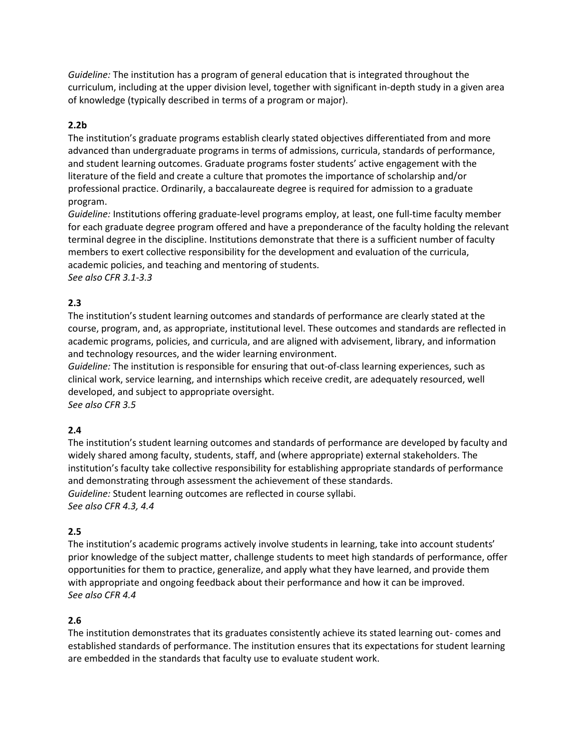*Guideline:* The institution has a program of general education that is integrated throughout the curriculum, including at the upper division level, together with significant in-depth study in a given area of knowledge (typically described in terms of a program or major).

## **2.2b**

The institution's graduate programs establish clearly stated objectives differentiated from and more advanced than undergraduate programs in terms of admissions, curricula, standards of performance, and student learning outcomes. Graduate programs foster students' active engagement with the literature of the field and create a culture that promotes the importance of scholarship and/or professional practice. Ordinarily, a baccalaureate degree is required for admission to a graduate program.

*Guideline:* Institutions offering graduate-level programs employ, at least, one full-time faculty member for each graduate degree program offered and have a preponderance of the faculty holding the relevant terminal degree in the discipline. Institutions demonstrate that there is a sufficient number of faculty members to exert collective responsibility for the development and evaluation of the curricula, academic policies, and teaching and mentoring of students. *See also CFR 3.1-3.3*

## **2.3**

The institution's student learning outcomes and standards of performance are clearly stated at the course, program, and, as appropriate, institutional level. These outcomes and standards are reflected in academic programs, policies, and curricula, and are aligned with advisement, library, and information and technology resources, and the wider learning environment.

*Guideline:* The institution is responsible for ensuring that out-of-class learning experiences, such as clinical work, service learning, and internships which receive credit, are adequately resourced, well developed, and subject to appropriate oversight.

*See also CFR 3.5*

## **2.4**

The institution's student learning outcomes and standards of performance are developed by faculty and widely shared among faculty, students, staff, and (where appropriate) external stakeholders. The institution's faculty take collective responsibility for establishing appropriate standards of performance and demonstrating through assessment the achievement of these standards. *Guideline:* Student learning outcomes are reflected in course syllabi. *See also CFR 4.3, 4.4*

## **2.5**

The institution's academic programs actively involve students in learning, take into account students' prior knowledge of the subject matter, challenge students to meet high standards of performance, offer opportunities for them to practice, generalize, and apply what they have learned, and provide them with appropriate and ongoing feedback about their performance and how it can be improved. *See also CFR 4.4*

## **2.6**

The institution demonstrates that its graduates consistently achieve its stated learning out- comes and established standards of performance. The institution ensures that its expectations for student learning are embedded in the standards that faculty use to evaluate student work.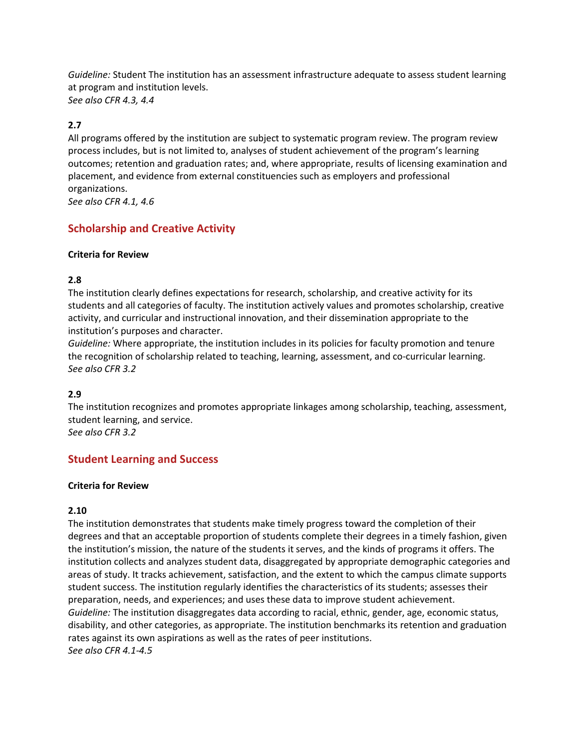*Guideline:* Student The institution has an assessment infrastructure adequate to assess student learning at program and institution levels. *See also CFR 4.3, 4.4*

## **2.7**

All programs offered by the institution are subject to systematic program review. The program review process includes, but is not limited to, analyses of student achievement of the program's learning outcomes; retention and graduation rates; and, where appropriate, results of licensing examination and placement, and evidence from external constituencies such as employers and professional organizations. *See also CFR 4.1, 4.6*

## **Scholarship and Creative Activity**

#### **Criteria for Review**

## **2.8**

The institution clearly defines expectations for research, scholarship, and creative activity for its students and all categories of faculty. The institution actively values and promotes scholarship, creative activity, and curricular and instructional innovation, and their dissemination appropriate to the institution's purposes and character.

*Guideline:* Where appropriate, the institution includes in its policies for faculty promotion and tenure the recognition of scholarship related to teaching, learning, assessment, and co-curricular learning. *See also CFR 3.2*

## **2.9**

The institution recognizes and promotes appropriate linkages among scholarship, teaching, assessment, student learning, and service. *See also CFR 3.2*

## **Student Learning and Success**

#### **Criteria for Review**

#### **2.10**

The institution demonstrates that students make timely progress toward the completion of their degrees and that an acceptable proportion of students complete their degrees in a timely fashion, given the institution's mission, the nature of the students it serves, and the kinds of programs it offers. The institution collects and analyzes student data, disaggregated by appropriate demographic categories and areas of study. It tracks achievement, satisfaction, and the extent to which the campus climate supports student success. The institution regularly identifies the characteristics of its students; assesses their preparation, needs, and experiences; and uses these data to improve student achievement. *Guideline:* The institution disaggregates data according to racial, ethnic, gender, age, economic status, disability, and other categories, as appropriate. The institution benchmarks its retention and graduation rates against its own aspirations as well as the rates of peer institutions. *See also CFR 4.1-4.5*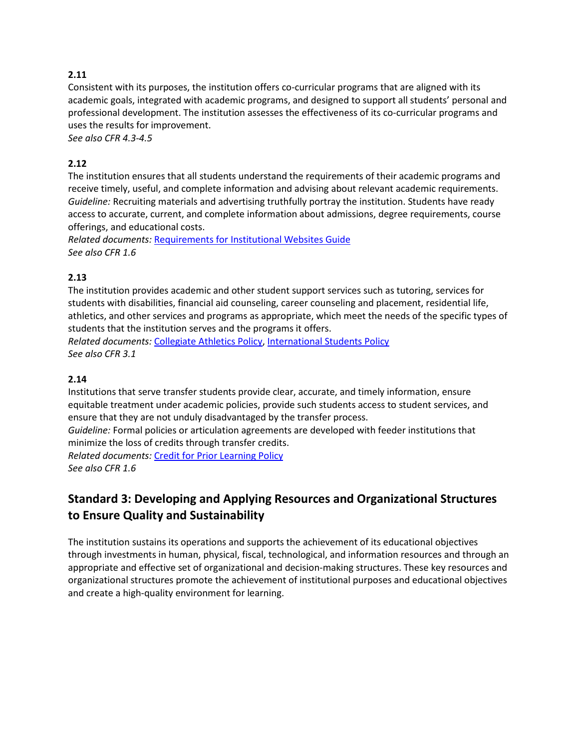## **2.11**

Consistent with its purposes, the institution offers co-curricular programs that are aligned with its academic goals, integrated with academic programs, and designed to support all students' personal and professional development. The institution assesses the effectiveness of its co-curricular programs and uses the results for improvement.

*See also CFR 4.3-4.5*

## **2.12**

The institution ensures that all students understand the requirements of their academic programs and receive timely, useful, and complete information and advising about relevant academic requirements. *Guideline:* Recruiting materials and advertising truthfully portray the institution. Students have ready access to accurate, current, and complete information about admissions, degree requirements, course offerings, and educational costs.

*Related documents:* [Requirements for Institutional Websites Guide](https://www.wscuc.org/content/requirements-institutional-websites-guide) *See also CFR 1.6*

## **2.13**

The institution provides academic and other student support services such as tutoring, services for students with disabilities, financial aid counseling, career counseling and placement, residential life, athletics, and other services and programs as appropriate, which meet the needs of the specific types of students that the institution serves and the programs it offers.

*Related documents:* [Collegiate Athletics Policy,](https://www.wscuc.org/content/collegiate-athletics-policy) [International Students Policy](https://www.wscuc.org/content/international-students-policy) *See also CFR 3.1*

## **2.14**

Institutions that serve transfer students provide clear, accurate, and timely information, ensure equitable treatment under academic policies, provide such students access to student services, and ensure that they are not unduly disadvantaged by the transfer process.

*Guideline:* Formal policies or articulation agreements are developed with feeder institutions that minimize the loss of credits through transfer credits.

*Related documents:* [Credit for Prior Learning Policy](https://www.wscuc.org/content/credit-prior-learning-policy) *See also CFR 1.6*

# **Standard 3: Developing and Applying Resources and Organizational Structures to Ensure Quality and Sustainability**

The institution sustains its operations and supports the achievement of its educational objectives through investments in human, physical, fiscal, technological, and information resources and through an appropriate and effective set of organizational and decision-making structures. These key resources and organizational structures promote the achievement of institutional purposes and educational objectives and create a high-quality environment for learning.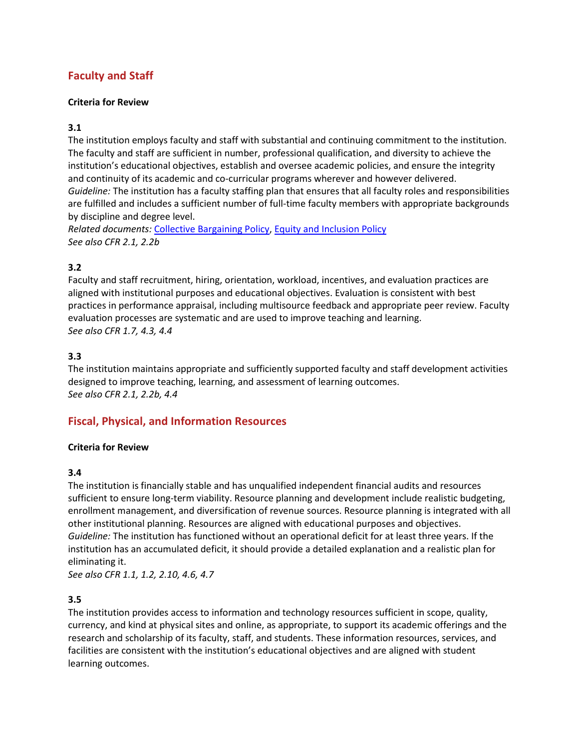## **Faculty and Staff**

#### **Criteria for Review**

## **3.1**

The institution employs faculty and staff with substantial and continuing commitment to the institution. The faculty and staff are sufficient in number, professional qualification, and diversity to achieve the institution's educational objectives, establish and oversee academic policies, and ensure the integrity and continuity of its academic and co-curricular programs wherever and however delivered. *Guideline:* The institution has a faculty staffing plan that ensures that all faculty roles and responsibilities are fulfilled and includes a sufficient number of full-time faculty members with appropriate backgrounds by discipline and degree level.

*Related documents:* [Collective Bargaining Policy,](https://www.wscuc.org/content/collective-bargaining-policy) [Equity and Inclusion Policy](https://www.wscuc.org/content/equity-inclusion-policy) *See also CFR 2.1, 2.2b*

## **3.2**

Faculty and staff recruitment, hiring, orientation, workload, incentives, and evaluation practices are aligned with institutional purposes and educational objectives. Evaluation is consistent with best practices in performance appraisal, including multisource feedback and appropriate peer review. Faculty evaluation processes are systematic and are used to improve teaching and learning. *See also CFR 1.7, 4.3, 4.4*

## **3.3**

The institution maintains appropriate and sufficiently supported faculty and staff development activities designed to improve teaching, learning, and assessment of learning outcomes. *See also CFR 2.1, 2.2b, 4.4*

## **Fiscal, Physical, and Information Resources**

#### **Criteria for Review**

#### **3.4**

The institution is financially stable and has unqualified independent financial audits and resources sufficient to ensure long-term viability. Resource planning and development include realistic budgeting, enrollment management, and diversification of revenue sources. Resource planning is integrated with all other institutional planning. Resources are aligned with educational purposes and objectives. *Guideline:* The institution has functioned without an operational deficit for at least three years. If the institution has an accumulated deficit, it should provide a detailed explanation and a realistic plan for eliminating it.

*See also CFR 1.1, 1.2, 2.10, 4.6, 4.7*

## **3.5**

The institution provides access to information and technology resources sufficient in scope, quality, currency, and kind at physical sites and online, as appropriate, to support its academic offerings and the research and scholarship of its faculty, staff, and students. These information resources, services, and facilities are consistent with the institution's educational objectives and are aligned with student learning outcomes.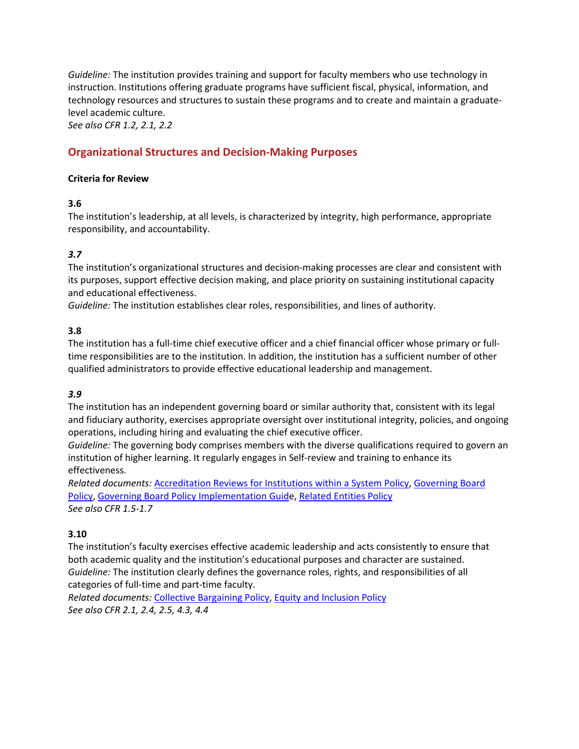*Guideline:* The institution provides training and support for faculty members who use technology in instruction. Institutions offering graduate programs have sufficient fiscal, physical, information, and technology resources and structures to sustain these programs and to create and maintain a graduatelevel academic culture.

*See also CFR 1.2, 2.1, 2.2*

## **Organizational Structures and Decision-Making Purposes**

#### **Criteria for Review**

#### **3.6**

The institution's leadership, at all levels, is characterized by integrity, high performance, appropriate responsibility, and accountability.

## *3.7*

The institution's organizational structures and decision-making processes are clear and consistent with its purposes, support effective decision making, and place priority on sustaining institutional capacity and educational effectiveness.

*Guideline:* The institution establishes clear roles, responsibilities, and lines of authority.

#### **3.8**

The institution has a full-time chief executive officer and a chief financial officer whose primary or fulltime responsibilities are to the institution. In addition, the institution has a sufficient number of other qualified administrators to provide effective educational leadership and management.

## *3.9*

The institution has an independent governing board or similar authority that, consistent with its legal and fiduciary authority, exercises appropriate oversight over institutional integrity, policies, and ongoing operations, including hiring and evaluating the chief executive officer.

*Guideline:* The governing body comprises members with the diverse qualifications required to govern an institution of higher learning. It regularly engages in Self-review and training to enhance its effectiveness.

*Related documents:* [Accreditation Reviews for Institutions within a System Policy,](https://www.wscuc.org/content/institutions-within-system-policy) [Governing Board](https://www.wscuc.org/content/governing-board-policy)  [Policy,](https://www.wscuc.org/content/governing-board-policy) Governing Board [Policy Implementation Guide](https://www.wscuc.org/content/governing-board-policy-implementation-guide)[, Related Entities Policy](https://www.wscuc.org/content/related-entities-policy) *See also CFR 1.5-1.7*

## **3.10**

The institution's faculty exercises effective academic leadership and acts consistently to ensure that both academic quality and the institution's educational purposes and character are sustained. *Guideline:* The institution clearly defines the governance roles, rights, and responsibilities of all categories of full-time and part-time faculty.

*Related documents:* [Collective Bargaining Policy,](https://www.wscuc.org/content/collective-bargaining-policy) [Equity and Inclusion Policy](https://www.wscuc.org/content/equity-inclusion-policy) *See also CFR 2.1, 2.4, 2.5, 4.3, 4.4*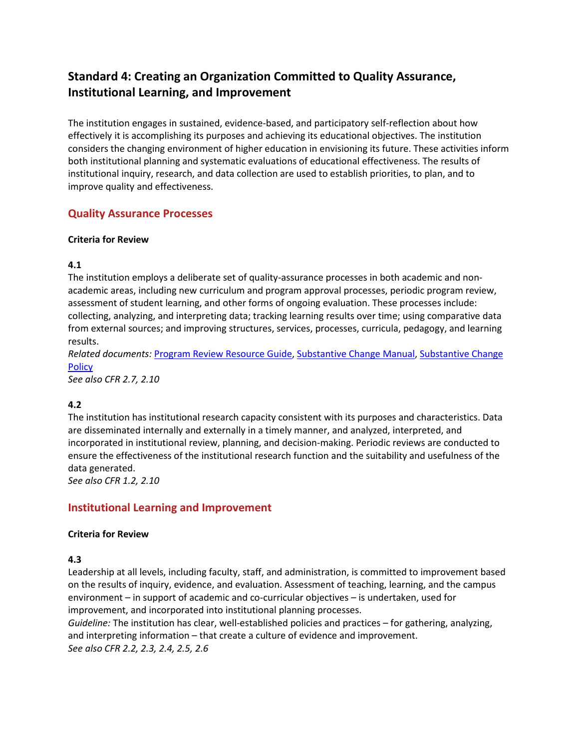# **Standard 4: Creating an Organization Committed to Quality Assurance, Institutional Learning, and Improvement**

The institution engages in sustained, evidence-based, and participatory self-reflection about how effectively it is accomplishing its purposes and achieving its educational objectives. The institution considers the changing environment of higher education in envisioning its future. These activities inform both institutional planning and systematic evaluations of educational effectiveness. The results of institutional inquiry, research, and data collection are used to establish priorities, to plan, and to improve quality and effectiveness.

## **Quality Assurance Processes**

#### **Criteria for Review**

## **4.1**

The institution employs a deliberate set of quality-assurance processes in both academic and nonacademic areas, including new curriculum and program approval processes, periodic program review, assessment of student learning, and other forms of ongoing evaluation. These processes include: collecting, analyzing, and interpreting data; tracking learning results over time; using comparative data from external sources; and improving structures, services, processes, curricula, pedagogy, and learning results.

*Related documents:* [Program Review Resource Guide,](https://www.wscuc.org/content/program-review-resource-guide) [Substantive Change Manual,](https://www.wscuc.org/content/substantive-change-manual) [Substantive Change](https://www.wscuc.org/content/substantive-change-policy)  **[Policy](https://www.wscuc.org/content/substantive-change-policy)** 

*See also CFR 2.7, 2.10*

## **4.2**

The institution has institutional research capacity consistent with its purposes and characteristics. Data are disseminated internally and externally in a timely manner, and analyzed, interpreted, and incorporated in institutional review, planning, and decision-making. Periodic reviews are conducted to ensure the effectiveness of the institutional research function and the suitability and usefulness of the data generated.

*See also CFR 1.2, 2.10*

## **Institutional Learning and Improvement**

#### **Criteria for Review**

## **4.3**

Leadership at all levels, including faculty, staff, and administration, is committed to improvement based on the results of inquiry, evidence, and evaluation. Assessment of teaching, learning, and the campus environment – in support of academic and co-curricular objectives – is undertaken, used for improvement, and incorporated into institutional planning processes.

*Guideline:* The institution has clear, well-established policies and practices – for gathering, analyzing, and interpreting information – that create a culture of evidence and improvement. *See also CFR 2.2, 2.3, 2.4, 2.5, 2.6*